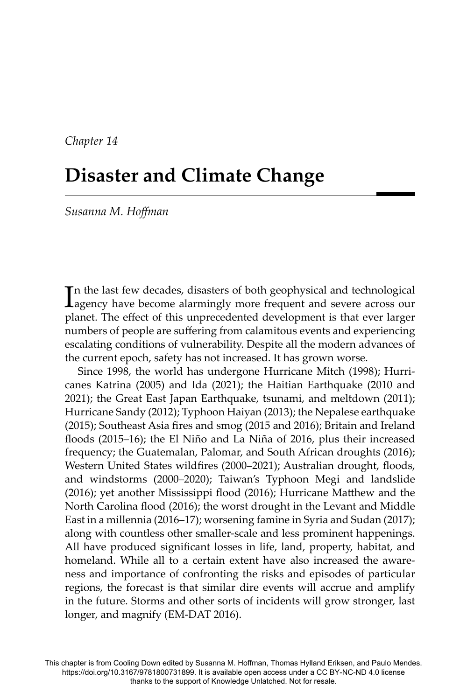*Chapter 14*

# **Disaster and Climate Change**

*Susanna M. Hoff man*

In the last few decades, disasters of both geophysical and technological agency have become alarmingly more frequent and severe across our agency have become alarmingly more frequent and severe across our planet. The effect of this unprecedented development is that ever larger numbers of people are suffering from calamitous events and experiencing escalating conditions of vulnerability. Despite all the modern advances of the current epoch, safety has not increased. It has grown worse.

Since 1998, the world has undergone Hurricane Mitch (1998); Hurricanes Katrina (2005) and Ida (2021); the Haitian Earthquake (2010 and 2021); the Great East Japan Earthquake, tsunami, and meltdown (2011); Hurricane Sandy (2012); Typhoon Haiyan (2013); the Nepalese earthquake (2015); Southeast Asia fires and smog (2015 and 2016); Britain and Ireland floods (2015–16); the El Niño and La Niña of 2016, plus their increased frequency; the Guatemalan, Palomar, and South African droughts (2016); Western United States wildfires (2000–2021); Australian drought, floods, and windstorms (2000–2020); Taiwan's Typhoon Megi and landslide  $(2016)$ ; yet another Mississippi flood  $(2016)$ ; Hurricane Matthew and the North Carolina flood (2016); the worst drought in the Levant and Middle East in a millennia (2016–17); worsening famine in Syria and Sudan (2017); along with countless other smaller-scale and less prominent happenings. All have produced significant losses in life, land, property, habitat, and homeland. While all to a certain extent have also increased the awareness and importance of confronting the risks and episodes of particular regions, the forecast is that similar dire events will accrue and amplify in the future. Storms and other sorts of incidents will grow stronger, last longer, and magnify (EM-DAT 2016).

This chapter is from Cooling Down edited by Susanna M. Hoffman, Thomas Hylland Eriksen, and Paulo Mendes. https://doi.org/10.3167/9781800731899. It is available open access under a CC BY-NC-ND 4.0 license thanks to the support of Knowledge Unlatched. Not for resale.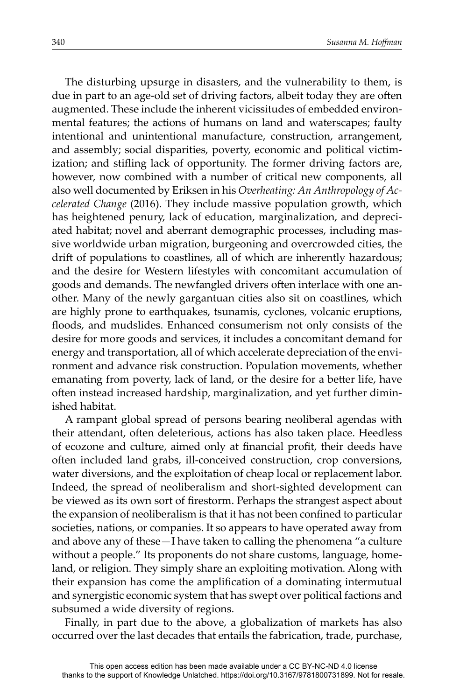The disturbing upsurge in disasters, and the vulnerability to them, is due in part to an age-old set of driving factors, albeit today they are often augmented. These include the inherent vicissitudes of embedded environmental features; the actions of humans on land and waterscapes; faulty intentional and unintentional manufacture, construction, arrangement, and assembly; social disparities, poverty, economic and political victimization; and stifling lack of opportunity. The former driving factors are, however, now combined with a number of critical new components, all also well documented by Eriksen in his *Overheating: An Anthropology of Accelerated Change* (2016). They include massive population growth, which has heightened penury, lack of education, marginalization, and depreciated habitat; novel and aberrant demographic processes, including massive worldwide urban migration, burgeoning and overcrowded cities, the drift of populations to coastlines, all of which are inherently hazardous; and the desire for Western lifestyles with concomitant accumulation of goods and demands. The newfangled drivers often interlace with one another. Many of the newly gargantuan cities also sit on coastlines, which are highly prone to earthquakes, tsunamis, cyclones, volcanic eruptions, floods, and mudslides. Enhanced consumerism not only consists of the desire for more goods and services, it includes a concomitant demand for energy and transportation, all of which accelerate depreciation of the environment and advance risk construction. Population movements, whether emanating from poverty, lack of land, or the desire for a better life, have often instead increased hardship, marginalization, and yet further diminished habitat.

A rampant global spread of persons bearing neoliberal agendas with their attendant, often deleterious, actions has also taken place. Heedless of ecozone and culture, aimed only at financial profit, their deeds have often included land grabs, ill-conceived construction, crop conversions, water diversions, and the exploitation of cheap local or replacement labor. Indeed, the spread of neoliberalism and short-sighted development can be viewed as its own sort of firestorm. Perhaps the strangest aspect about the expansion of neoliberalism is that it has not been confined to particular societies, nations, or companies. It so appears to have operated away from and above any of these—I have taken to calling the phenomena "a culture without a people." Its proponents do not share customs, language, homeland, or religion. They simply share an exploiting motivation. Along with their expansion has come the amplification of a dominating intermutual and synergistic economic system that has swept over political factions and subsumed a wide diversity of regions.

Finally, in part due to the above, a globalization of markets has also occurred over the last decades that entails the fabrication, trade, purchase,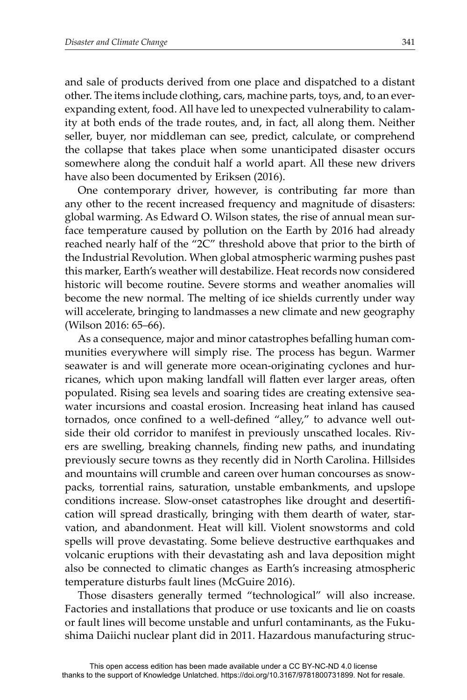and sale of products derived from one place and dispatched to a distant other. The items include clothing, cars, machine parts, toys, and, to an everexpanding extent, food. All have led to unexpected vulnerability to calamity at both ends of the trade routes, and, in fact, all along them. Neither seller, buyer, nor middleman can see, predict, calculate, or comprehend the collapse that takes place when some unanticipated disaster occurs somewhere along the conduit half a world apart. All these new drivers have also been documented by Eriksen (2016).

One contemporary driver, however, is contributing far more than any other to the recent increased frequency and magnitude of disasters: global warming. As Edward O. Wilson states, the rise of annual mean surface temperature caused by pollution on the Earth by 2016 had already reached nearly half of the "2C" threshold above that prior to the birth of the Industrial Revolution. When global atmospheric warming pushes past this marker, Earth's weather will destabilize. Heat records now considered historic will become routine. Severe storms and weather anomalies will become the new normal. The melting of ice shields currently under way will accelerate, bringing to landmasses a new climate and new geography (Wilson 2016: 65–66).

As a consequence, major and minor catastrophes befalling human communities everywhere will simply rise. The process has begun. Warmer seawater is and will generate more ocean-originating cyclones and hurricanes, which upon making landfall will flatten ever larger areas, often populated. Rising sea levels and soaring tides are creating extensive seawater incursions and coastal erosion. Increasing heat inland has caused tornados, once confined to a well-defined "alley," to advance well outside their old corridor to manifest in previously unscathed locales. Rivers are swelling, breaking channels, finding new paths, and inundating previously secure towns as they recently did in North Carolina. Hillsides and mountains will crumble and careen over human concourses as snowpacks, torrential rains, saturation, unstable embankments, and upslope conditions increase. Slow-onset catastrophes like drought and desertification will spread drastically, bringing with them dearth of water, starvation, and abandonment. Heat will kill. Violent snowstorms and cold spells will prove devastating. Some believe destructive earthquakes and volcanic eruptions with their devastating ash and lava deposition might also be connected to climatic changes as Earth's increasing atmospheric temperature disturbs fault lines (McGuire 2016).

Those disasters generally termed "technological" will also increase. Factories and installations that produce or use toxicants and lie on coasts or fault lines will become unstable and unfurl contaminants, as the Fukushima Daiichi nuclear plant did in 2011. Hazardous manufacturing struc-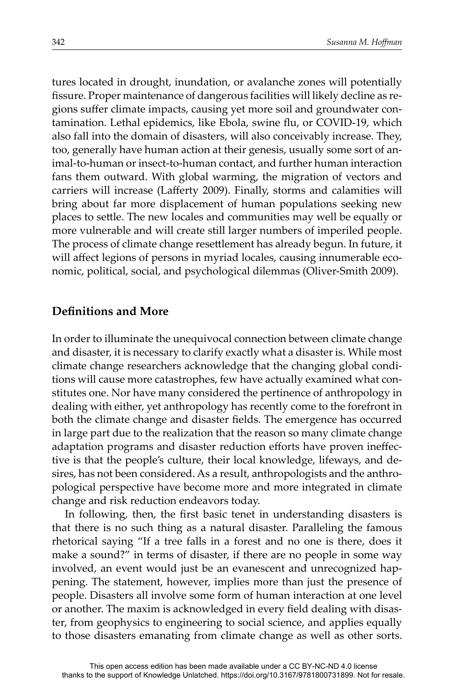tures located in drought, inundation, or avalanche zones will potentially fissure. Proper maintenance of dangerous facilities will likely decline as regions suffer climate impacts, causing yet more soil and groundwater contamination. Lethal epidemics, like Ebola, swine flu, or COVID-19, which also fall into the domain of disasters, will also conceivably increase. They, too, generally have human action at their genesis, usually some sort of animal-to-human or insect-to-human contact, and further human interaction fans them outward. With global warming, the migration of vectors and carriers will increase (Lafferty 2009). Finally, storms and calamities will bring about far more displacement of human populations seeking new places to settle. The new locales and communities may well be equally or more vulnerable and will create still larger numbers of imperiled people. The process of climate change resettlement has already begun. In future, it will affect legions of persons in myriad locales, causing innumerable eco-nomic, political, social, and psychological dilemmas (Oliver-Smith 2009).

## **Definitions and More**

In order to illuminate the unequivocal connection between climate change and disaster, it is necessary to clarify exactly what a disaster is. While most climate change researchers acknowledge that the changing global conditions will cause more catastrophes, few have actually examined what constitutes one. Nor have many considered the pertinence of anthropology in dealing with either, yet anthropology has recently come to the forefront in both the climate change and disaster fields. The emergence has occurred in large part due to the realization that the reason so many climate change adaptation programs and disaster reduction efforts have proven ineffective is that the people's culture, their local knowledge, lifeways, and desires, has not been considered. As a result, anthropologists and the anthropological perspective have become more and more integrated in climate change and risk reduction endeavors today.

In following, then, the first basic tenet in understanding disasters is that there is no such thing as a natural disaster. Paralleling the famous rhetorical saying "If a tree falls in a forest and no one is there, does it make a sound?" in terms of disaster, if there are no people in some way involved, an event would just be an evanescent and unrecognized happening. The statement, however, implies more than just the presence of people. Disasters all involve some form of human interaction at one level or another. The maxim is acknowledged in every field dealing with disaster, from geophysics to engineering to social science, and applies equally to those disasters emanating from climate change as well as other sorts.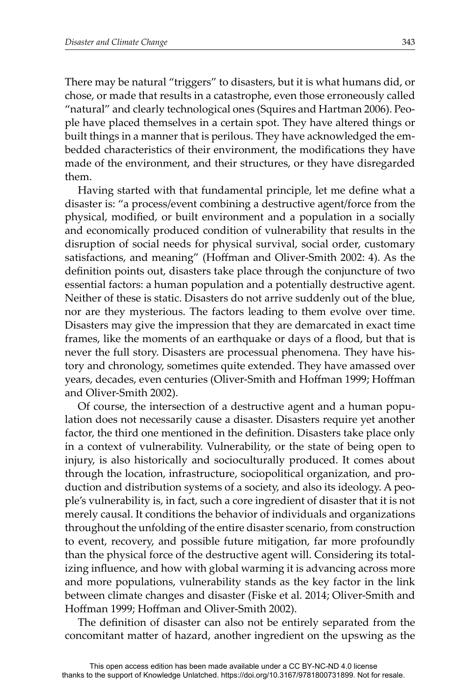There may be natural "triggers" to disasters, but it is what humans did, or chose, or made that results in a catastrophe, even those erroneously called "natural" and clearly technological ones (Squires and Hartman 2006). People have placed themselves in a certain spot. They have altered things or built things in a manner that is perilous. They have acknowledged the embedded characteristics of their environment, the modifications they have made of the environment, and their structures, or they have disregarded them.

Having started with that fundamental principle, let me define what a disaster is: "a process/event combining a destructive agent/force from the physical, modified, or built environment and a population in a socially and economically produced condition of vulnerability that results in the disruption of social needs for physical survival, social order, customary satisfactions, and meaning" (Hoffman and Oliver-Smith 2002: 4). As the definition points out, disasters take place through the conjuncture of two essential factors: a human population and a potentially destructive agent. Neither of these is static. Disasters do not arrive suddenly out of the blue, nor are they mysterious. The factors leading to them evolve over time. Disasters may give the impression that they are demarcated in exact time frames, like the moments of an earthquake or days of a flood, but that is never the full story. Disasters are processual phenomena. They have history and chronology, sometimes quite extended. They have amassed over years, decades, even centuries (Oliver-Smith and Hoffman 1999; Hoffman and Oliver-Smith 2002).

Of course, the intersection of a destructive agent and a human population does not necessarily cause a disaster. Disasters require yet another factor, the third one mentioned in the definition. Disasters take place only in a context of vulnerability. Vulnerability, or the state of being open to injury, is also historically and socioculturally produced. It comes about through the location, infrastructure, sociopolitical organization, and production and distribution systems of a society, and also its ideology. A people's vulnerability is, in fact, such a core ingredient of disaster that it is not merely causal. It conditions the behavior of individuals and organizations throughout the unfolding of the entire disaster scenario, from construction to event, recovery, and possible future mitigation, far more profoundly than the physical force of the destructive agent will. Considering its totalizing influence, and how with global warming it is advancing across more and more populations, vulnerability stands as the key factor in the link between climate changes and disaster (Fiske et al. 2014; Oliver-Smith and Hoffman 1999; Hoffman and Oliver-Smith 2002).

The definition of disaster can also not be entirely separated from the concomitant matter of hazard, another ingredient on the upswing as the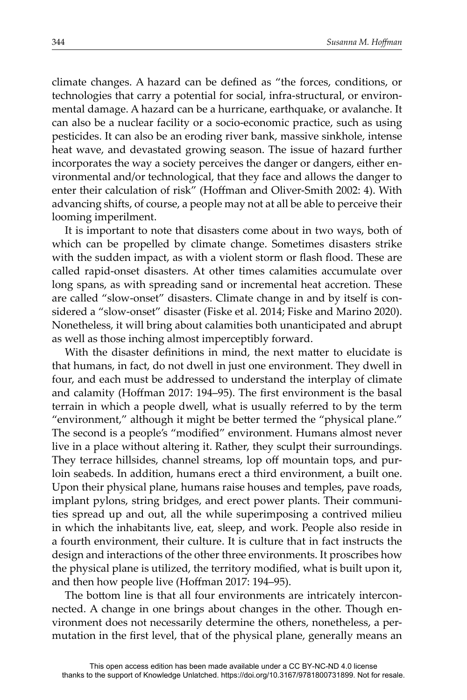climate changes. A hazard can be defined as "the forces, conditions, or technologies that carry a potential for social, infra-structural, or environmental damage. A hazard can be a hurricane, earthquake, or avalanche. It can also be a nuclear facility or a socio-economic practice, such as using pesticides. It can also be an eroding river bank, massive sinkhole, intense heat wave, and devastated growing season. The issue of hazard further incorporates the way a society perceives the danger or dangers, either environmental and/or technological, that they face and allows the danger to enter their calculation of risk" (Hoffman and Oliver-Smith 2002: 4). With advancing shifts, of course, a people may not at all be able to perceive their looming imperilment.

It is important to note that disasters come about in two ways, both of which can be propelled by climate change. Sometimes disasters strike with the sudden impact, as with a violent storm or flash flood. These are called rapid-onset disasters. At other times calamities accumulate over long spans, as with spreading sand or incremental heat accretion. These are called "slow-onset" disasters. Climate change in and by itself is considered a "slow-onset" disaster (Fiske et al. 2014; Fiske and Marino 2020). Nonetheless, it will bring about calamities both unanticipated and abrupt as well as those inching almost imperceptibly forward.

With the disaster definitions in mind, the next matter to elucidate is that humans, in fact, do not dwell in just one environment. They dwell in four, and each must be addressed to understand the interplay of climate and calamity (Hoffman 2017: 194–95). The first environment is the basal terrain in which a people dwell, what is usually referred to by the term "environment," although it might be better termed the "physical plane." The second is a people's "modified" environment. Humans almost never live in a place without altering it. Rather, they sculpt their surroundings. They terrace hillsides, channel streams, lop off mountain tops, and purloin seabeds. In addition, humans erect a third environment, a built one. Upon their physical plane, humans raise houses and temples, pave roads, implant pylons, string bridges, and erect power plants. Their communities spread up and out, all the while superimposing a contrived milieu in which the inhabitants live, eat, sleep, and work. People also reside in a fourth environment, their culture. It is culture that in fact instructs the design and interactions of the other three environments. It proscribes how the physical plane is utilized, the territory modified, what is built upon it, and then how people live (Hoffman 2017: 194-95).

The bottom line is that all four environments are intricately interconnected. A change in one brings about changes in the other. Though environment does not necessarily determine the others, nonetheless, a permutation in the first level, that of the physical plane, generally means an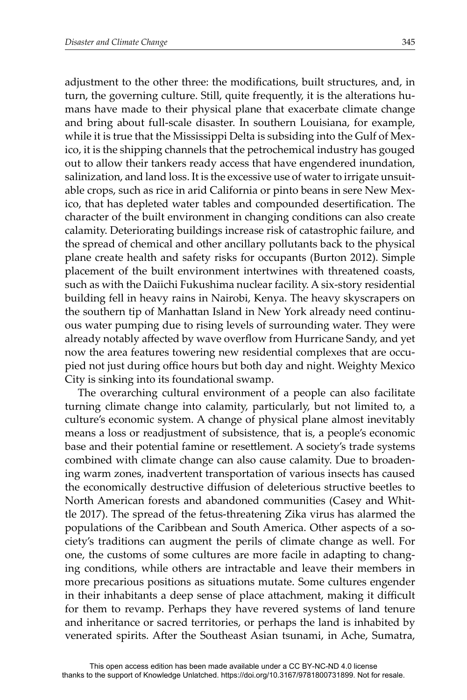adjustment to the other three: the modifications, built structures, and, in turn, the governing culture. Still, quite frequently, it is the alterations humans have made to their physical plane that exacerbate climate change and bring about full-scale disaster. In southern Louisiana, for example, while it is true that the Mississippi Delta is subsiding into the Gulf of Mexico, it is the shipping channels that the petrochemical industry has gouged out to allow their tankers ready access that have engendered inundation, salinization, and land loss. It is the excessive use of water to irrigate unsuitable crops, such as rice in arid California or pinto beans in sere New Mexico, that has depleted water tables and compounded desertification. The character of the built environment in changing conditions can also create calamity. Deteriorating buildings increase risk of catastrophic failure, and the spread of chemical and other ancillary pollutants back to the physical plane create health and safety risks for occupants (Burton 2012). Simple placement of the built environment intertwines with threatened coasts, such as with the Daiichi Fukushima nuclear facility. A six-story residential building fell in heavy rains in Nairobi, Kenya. The heavy skyscrapers on the southern tip of Manhattan Island in New York already need continuous water pumping due to rising levels of surrounding water. They were already notably affected by wave overflow from Hurricane Sandy, and yet now the area features towering new residential complexes that are occupied not just during office hours but both day and night. Weighty Mexico City is sinking into its foundational swamp.

The overarching cultural environment of a people can also facilitate turning climate change into calamity, particularly, but not limited to, a culture's economic system. A change of physical plane almost inevitably means a loss or readjustment of subsistence, that is, a people's economic base and their potential famine or resettlement. A society's trade systems combined with climate change can also cause calamity. Due to broadening warm zones, inadvertent transportation of various insects has caused the economically destructive diffusion of deleterious structive beetles to North American forests and abandoned communities (Casey and Whittle 2017). The spread of the fetus-threatening Zika virus has alarmed the populations of the Caribbean and South America. Other aspects of a society's traditions can augment the perils of climate change as well. For one, the customs of some cultures are more facile in adapting to changing conditions, while others are intractable and leave their members in more precarious positions as situations mutate. Some cultures engender in their inhabitants a deep sense of place attachment, making it difficult for them to revamp. Perhaps they have revered systems of land tenure and inheritance or sacred territories, or perhaps the land is inhabited by venerated spirits. After the Southeast Asian tsunami, in Ache, Sumatra,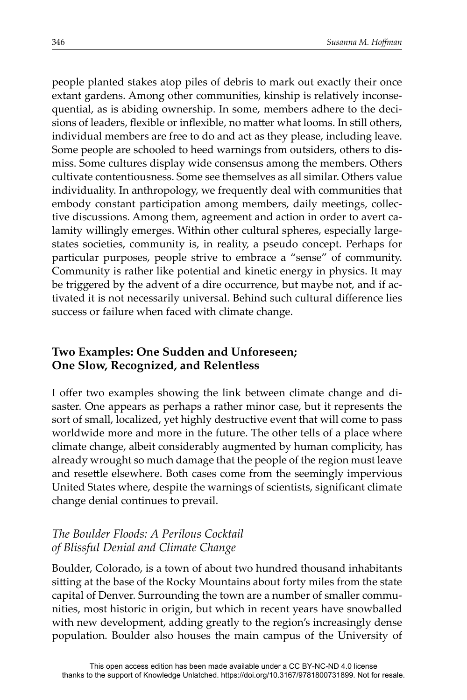people planted stakes atop piles of debris to mark out exactly their once extant gardens. Among other communities, kinship is relatively inconsequential, as is abiding ownership. In some, members adhere to the decisions of leaders, flexible or inflexible, no matter what looms. In still others, individual members are free to do and act as they please, including leave. Some people are schooled to heed warnings from outsiders, others to dismiss. Some cultures display wide consensus among the members. Others cultivate contentiousness. Some see themselves as all similar. Others value individuality. In anthropology, we frequently deal with communities that embody constant participation among members, daily meetings, collective discussions. Among them, agreement and action in order to avert calamity willingly emerges. Within other cultural spheres, especially largestates societies, community is, in reality, a pseudo concept. Perhaps for particular purposes, people strive to embrace a "sense" of community. Community is rather like potential and kinetic energy in physics. It may be triggered by the advent of a dire occurrence, but maybe not, and if activated it is not necessarily universal. Behind such cultural difference lies success or failure when faced with climate change.

## **Two Examples: One Sudden and Unforeseen; One Slow, Recognized, and Relentless**

I offer two examples showing the link between climate change and disaster. One appears as perhaps a rather minor case, but it represents the sort of small, localized, yet highly destructive event that will come to pass worldwide more and more in the future. The other tells of a place where climate change, albeit considerably augmented by human complicity, has already wrought so much damage that the people of the region must leave and resettle elsewhere. Both cases come from the seemingly impervious United States where, despite the warnings of scientists, significant climate change denial continues to prevail.

## *The Boulder Floods: A Perilous Cocktail of Blissful Denial and Climate Change*

Boulder, Colorado, is a town of about two hundred thousand inhabitants sitting at the base of the Rocky Mountains about forty miles from the state capital of Denver. Surrounding the town are a number of smaller communities, most historic in origin, but which in recent years have snowballed with new development, adding greatly to the region's increasingly dense population. Boulder also houses the main campus of the University of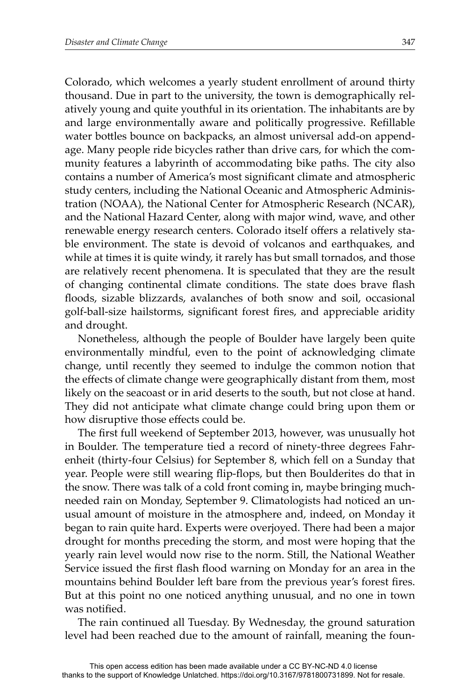Colorado, which welcomes a yearly student enrollment of around thirty thousand. Due in part to the university, the town is demographically relatively young and quite youthful in its orientation. The inhabitants are by and large environmentally aware and politically progressive. Refillable water bottles bounce on backpacks, an almost universal add-on appendage. Many people ride bicycles rather than drive cars, for which the community features a labyrinth of accommodating bike paths. The city also contains a number of America's most significant climate and atmospheric study centers, including the National Oceanic and Atmospheric Administration (NOAA), the National Center for Atmospheric Research (NCAR), and the National Hazard Center, along with major wind, wave, and other renewable energy research centers. Colorado itself offers a relatively stable environment. The state is devoid of volcanos and earthquakes, and while at times it is quite windy, it rarely has but small tornados, and those are relatively recent phenomena. It is speculated that they are the result of changing continental climate conditions. The state does brave flash floods, sizable blizzards, avalanches of both snow and soil, occasional golf-ball-size hailstorms, significant forest fires, and appreciable aridity and drought.

Nonetheless, although the people of Boulder have largely been quite environmentally mindful, even to the point of acknowledging climate change, until recently they seemed to indulge the common notion that the effects of climate change were geographically distant from them, most likely on the seacoast or in arid deserts to the south, but not close at hand. They did not anticipate what climate change could bring upon them or how disruptive those effects could be.

The first full weekend of September 2013, however, was unusually hot in Boulder. The temperature tied a record of ninety-three degrees Fahrenheit (thirty-four Celsius) for September 8, which fell on a Sunday that year. People were still wearing flip-flops, but then Boulderites do that in the snow. There was talk of a cold front coming in, maybe bringing muchneeded rain on Monday, September 9. Climatologists had noticed an unusual amount of moisture in the atmosphere and, indeed, on Monday it began to rain quite hard. Experts were overjoyed. There had been a major drought for months preceding the storm, and most were hoping that the yearly rain level would now rise to the norm. Still, the National Weather Service issued the first flash flood warning on Monday for an area in the mountains behind Boulder left bare from the previous year's forest fires. But at this point no one noticed anything unusual, and no one in town was notified.

The rain continued all Tuesday. By Wednesday, the ground saturation level had been reached due to the amount of rainfall, meaning the foun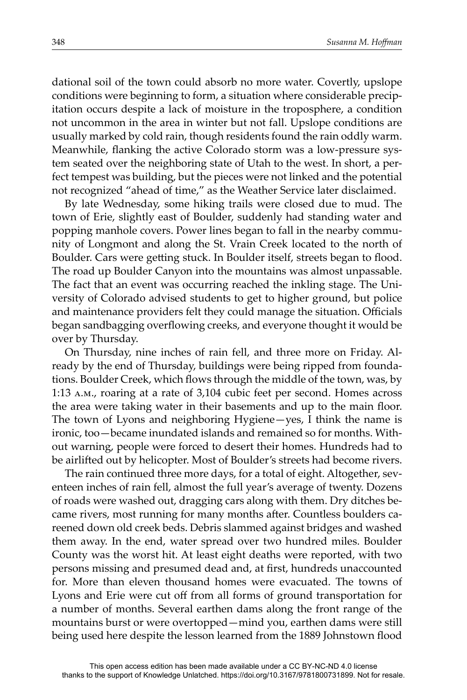dational soil of the town could absorb no more water. Covertly, upslope conditions were beginning to form, a situation where considerable precipitation occurs despite a lack of moisture in the troposphere, a condition not uncommon in the area in winter but not fall. Upslope conditions are usually marked by cold rain, though residents found the rain oddly warm. Meanwhile, flanking the active Colorado storm was a low-pressure system seated over the neighboring state of Utah to the west. In short, a perfect tempest was building, but the pieces were not linked and the potential not recognized "ahead of time," as the Weather Service later disclaimed.

By late Wednesday, some hiking trails were closed due to mud. The town of Erie, slightly east of Boulder, suddenly had standing water and popping manhole covers. Power lines began to fall in the nearby community of Longmont and along the St. Vrain Creek located to the north of Boulder. Cars were getting stuck. In Boulder itself, streets began to flood. The road up Boulder Canyon into the mountains was almost unpassable. The fact that an event was occurring reached the inkling stage. The University of Colorado advised students to get to higher ground, but police and maintenance providers felt they could manage the situation. Officials began sandbagging overflowing creeks, and everyone thought it would be over by Thursday.

On Thursday, nine inches of rain fell, and three more on Friday. Already by the end of Thursday, buildings were being ripped from foundations. Boulder Creek, which flows through the middle of the town, was, by 1:13 a.m., roaring at a rate of 3,104 cubic feet per second. Homes across the area were taking water in their basements and up to the main floor. The town of Lyons and neighboring Hygiene—yes, I think the name is ironic, too—became inundated islands and remained so for months. Without warning, people were forced to desert their homes. Hundreds had to be airlifted out by helicopter. Most of Boulder's streets had become rivers.

The rain continued three more days, for a total of eight. Altogether, seventeen inches of rain fell, almost the full year's average of twenty. Dozens of roads were washed out, dragging cars along with them. Dry ditches became rivers, most running for many months after. Countless boulders careened down old creek beds. Debris slammed against bridges and washed them away. In the end, water spread over two hundred miles. Boulder County was the worst hit. At least eight deaths were reported, with two persons missing and presumed dead and, at first, hundreds unaccounted for. More than eleven thousand homes were evacuated. The towns of Lyons and Erie were cut off from all forms of ground transportation for a number of months. Several earthen dams along the front range of the mountains burst or were overtopped—mind you, earthen dams were still being used here despite the lesson learned from the 1889 Johnstown flood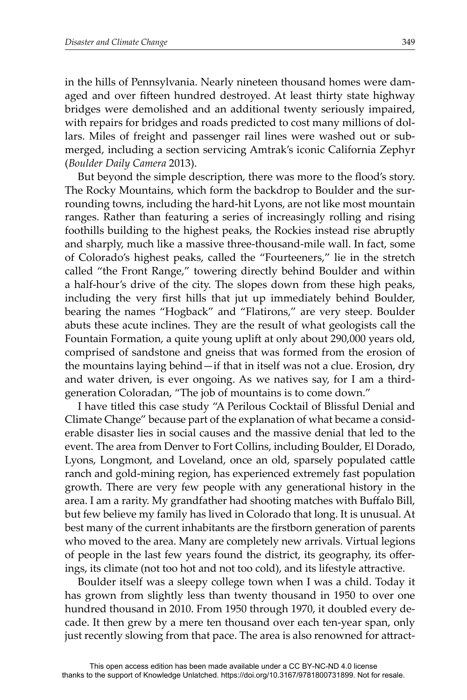in the hills of Pennsylvania. Nearly nineteen thousand homes were damaged and over fifteen hundred destroyed. At least thirty state highway bridges were demolished and an additional twenty seriously impaired, with repairs for bridges and roads predicted to cost many millions of dollars. Miles of freight and passenger rail lines were washed out or submerged, including a section servicing Amtrak's iconic California Zephyr (*Boulder Daily Camera* 2013).

But beyond the simple description, there was more to the flood's story. The Rocky Mountains, which form the backdrop to Boulder and the surrounding towns, including the hard-hit Lyons, are not like most mountain ranges. Rather than featuring a series of increasingly rolling and rising foothills building to the highest peaks, the Rockies instead rise abruptly and sharply, much like a massive three-thousand-mile wall. In fact, some of Colorado's highest peaks, called the " Fourteeners," lie in the stretch called "the Front Range," towering directly behind Boulder and within a half-hour's drive of the city. The slopes down from these high peaks, including the very first hills that jut up immediately behind Boulder, bearing the names "Hogback" and "Flatirons," are very steep. Boulder abuts these acute inclines. They are the result of what geologists call the Fountain Formation, a quite young uplift at only about 290,000 years old, comprised of sandstone and gneiss that was formed from the erosion of the mountains laying behind—if that in itself was not a clue. Erosion, dry and water driven, is ever ongoing. As we natives say, for I am a thirdgeneration Coloradan, "The job of mountains is to come down."

I have titled this case study "A Perilous Cocktail of Blissful Denial and Climate Change" because part of the explanation of what became a considerable disaster lies in social causes and the massive denial that led to the event. The area from Denver to Fort Collins, including Boulder, El Dorado, Lyons, Longmont, and Loveland, once an old, sparsely populated cattle ranch and gold-mining region, has experienced extremely fast population growth. There are very few people with any generational history in the area. I am a rarity. My grandfather had shooting matches with Buffalo Bill, but few believe my family has lived in Colorado that long. It is unusual. At best many of the current inhabitants are the firstborn generation of parents who moved to the area. Many are completely new arrivals. Virtual legions of people in the last few years found the district, its geography, its offerings, its climate (not too hot and not too cold), and its lifestyle attractive.

Boulder itself was a sleepy college town when I was a child. Today it has grown from slightly less than twenty thousand in 1950 to over one hundred thousand in 2010. From 1950 through 1970, it doubled every decade. It then grew by a mere ten thousand over each ten-year span, only just recently slowing from that pace. The area is also renowned for attract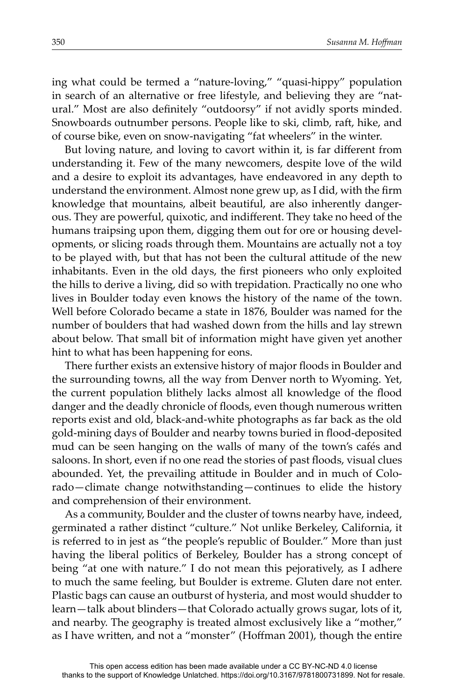ing what could be termed a "nature-loving," "quasi-hippy" population in search of an alternative or free lifestyle, and believing they are "natural." Most are also definitely "outdoorsy" if not avidly sports minded. Snowboards outnumber persons. People like to ski, climb, raft, hike, and of course bike, even on snow-navigating "fat wheelers" in the winter.

But loving nature, and loving to cavort within it, is far different from understanding it. Few of the many newcomers, despite love of the wild and a desire to exploit its advantages, have endeavored in any depth to understand the environment. Almost none grew up, as I did, with the firm knowledge that mountains, albeit beautiful, are also inherently dangerous. They are powerful, quixotic, and indifferent. They take no heed of the humans traipsing upon them, digging them out for ore or housing developments, or slicing roads through them. Mountains are actually not a toy to be played with, but that has not been the cultural attitude of the new inhabitants. Even in the old days, the first pioneers who only exploited the hills to derive a living, did so with trepidation. Practically no one who lives in Boulder today even knows the history of the name of the town. Well before Colorado became a state in 1876, Boulder was named for the number of boulders that had washed down from the hills and lay strewn about below. That small bit of information might have given yet another hint to what has been happening for eons.

There further exists an extensive history of major floods in Boulder and the surrounding towns, all the way from Denver north to Wyoming. Yet, the current population blithely lacks almost all knowledge of the flood danger and the deadly chronicle of floods, even though numerous written reports exist and old, black-and-white photographs as far back as the old gold-mining days of Boulder and nearby towns buried in flood-deposited mud can be seen hanging on the walls of many of the town's cafés and saloons. In short, even if no one read the stories of past floods, visual clues abounded. Yet, the prevailing attitude in Boulder and in much of Colorado—climate change notwithstanding—continues to elide the history and comprehension of their environment.

As a community, Boulder and the cluster of towns nearby have, indeed, germinated a rather distinct "culture." Not unlike Berkeley, California, it is referred to in jest as "the people's republic of Boulder." More than just having the liberal politics of Berkeley, Boulder has a strong concept of being "at one with nature." I do not mean this pejoratively, as I adhere to much the same feeling, but Boulder is extreme. Gluten dare not enter. Plastic bags can cause an outburst of hysteria, and most would shudder to learn—talk about blinders—that Colorado actually grows sugar, lots of it, and nearby. The geography is treated almost exclusively like a "mother," as I have written, and not a "monster" (Hoffman 2001), though the entire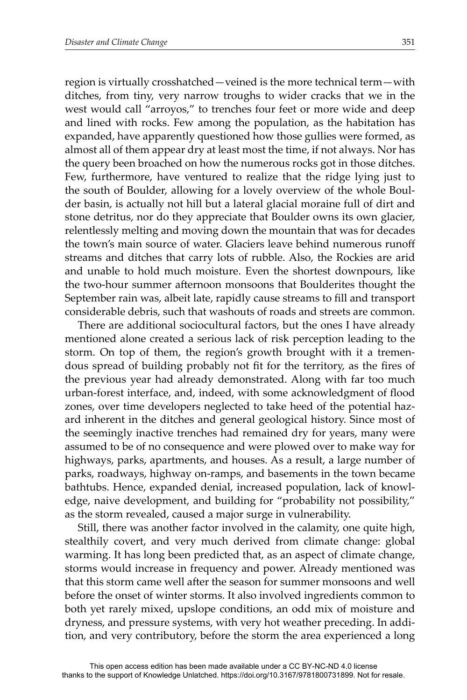region is virtually crosshatched—veined is the more technical term—with ditches, from tiny, very narrow troughs to wider cracks that we in the west would call "arroyos," to trenches four feet or more wide and deep and lined with rocks. Few among the population, as the habitation has expanded, have apparently questioned how those gullies were formed, as almost all of them appear dry at least most the time, if not always. Nor has the query been broached on how the numerous rocks got in those ditches. Few, furthermore, have ventured to realize that the ridge lying just to the south of Boulder, allowing for a lovely overview of the whole Boulder basin, is actually not hill but a lateral glacial moraine full of dirt and stone detritus, nor do they appreciate that Boulder owns its own glacier, relentlessly melting and moving down the mountain that was for decades the town's main source of water. Glaciers leave behind numerous runoff streams and ditches that carry lots of rubble. Also, the Rockies are arid and unable to hold much moisture. Even the shortest downpours, like the two-hour summer afternoon monsoons that Boulderites thought the September rain was, albeit late, rapidly cause streams to fill and transport considerable debris, such that washouts of roads and streets are common.

There are additional sociocultural factors, but the ones I have already mentioned alone created a serious lack of risk perception leading to the storm. On top of them, the region's growth brought with it a tremendous spread of building probably not fit for the territory, as the fires of the previous year had already demonstrated. Along with far too much urban-forest interface, and, indeed, with some acknowledgment of flood zones, over time developers neglected to take heed of the potential hazard inherent in the ditches and general geological history. Since most of the seemingly inactive trenches had remained dry for years, many were assumed to be of no consequence and were plowed over to make way for highways, parks, apartments, and houses. As a result, a large number of parks, roadways, highway on-ramps, and basements in the town became bathtubs. Hence, expanded denial, increased population, lack of knowledge, naive development, and building for "probability not possibility," as the storm revealed, caused a major surge in vulnerability.

Still, there was another factor involved in the calamity, one quite high, stealthily covert, and very much derived from climate change: global warming. It has long been predicted that, as an aspect of climate change, storms would increase in frequency and power. Already mentioned was that this storm came well after the season for summer monsoons and well before the onset of winter storms. It also involved ingredients common to both yet rarely mixed, upslope conditions, an odd mix of moisture and dryness, and pressure systems, with very hot weather preceding. In addition, and very contributory, before the storm the area experienced a long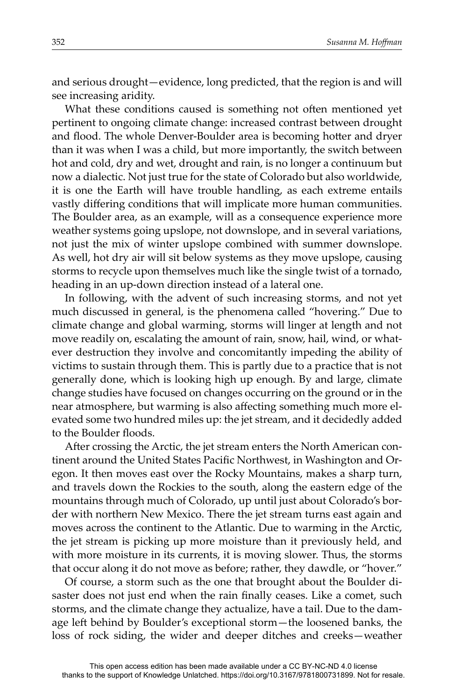and serious drought—evidence, long predicted, that the region is and will see increasing aridity.

What these conditions caused is something not often mentioned yet pertinent to ongoing climate change: increased contrast between drought and flood. The whole Denver-Boulder area is becoming hotter and dryer than it was when I was a child, but more importantly, the switch between hot and cold, dry and wet, drought and rain, is no longer a continuum but now a dialectic. Not just true for the state of Colorado but also worldwide, it is one the Earth will have trouble handling, as each extreme entails vastly differing conditions that will implicate more human communities. The Boulder area, as an example, will as a consequence experience more weather systems going upslope, not downslope, and in several variations, not just the mix of winter upslope combined with summer downslope. As well, hot dry air will sit below systems as they move upslope, causing storms to recycle upon themselves much like the single twist of a tornado, heading in an up-down direction instead of a lateral one.

In following, with the advent of such increasing storms, and not yet much discussed in general, is the phenomena called "hovering." Due to climate change and global warming, storms will linger at length and not move readily on, escalating the amount of rain, snow, hail, wind, or whatever destruction they involve and concomitantly impeding the ability of victims to sustain through them. This is partly due to a practice that is not generally done, which is looking high up enough. By and large, climate change studies have focused on changes occurring on the ground or in the near atmosphere, but warming is also affecting something much more elevated some two hundred miles up: the jet stream, and it decidedly added to the Boulder floods.

After crossing the Arctic, the jet stream enters the North American continent around the United States Pacific Northwest, in Washington and Oregon. It then moves east over the Rocky Mountains, makes a sharp turn, and travels down the Rockies to the south, along the eastern edge of the mountains through much of Colorado, up until just about Colorado's border with northern New Mexico. There the jet stream turns east again and moves across the continent to the Atlantic. Due to warming in the Arctic, the jet stream is picking up more moisture than it previously held, and with more moisture in its currents, it is moving slower. Thus, the storms that occur along it do not move as before; rather, they dawdle, or "hover."

Of course, a storm such as the one that brought about the Boulder disaster does not just end when the rain finally ceases. Like a comet, such storms, and the climate change they actualize, have a tail. Due to the damage left behind by Boulder's exceptional storm-the loosened banks, the loss of rock siding, the wider and deeper ditches and creeks—weather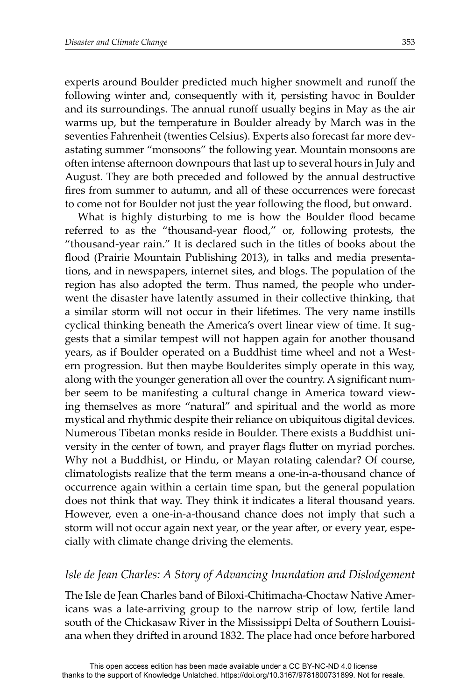experts around Boulder predicted much higher snowmelt and runoff the following winter and, consequently with it, persisting havoc in Boulder and its surroundings. The annual runoff usually begins in May as the air warms up, but the temperature in Boulder already by March was in the seventies Fahrenheit (twenties Celsius). Experts also forecast far more devastating summer "monsoons" the following year. Mountain monsoons are often intense afternoon downpours that last up to several hours in July and August. They are both preceded and followed by the annual destructive fires from summer to autumn, and all of these occurrences were forecast to come not for Boulder not just the year following the flood, but onward.

What is highly disturbing to me is how the Boulder flood became referred to as the "thousand-year flood," or, following protests, the "thousand-year rain." It is declared such in the titles of books about the flood (Prairie Mountain Publishing 2013), in talks and media presentations, and in newspapers, internet sites, and blogs. The population of the region has also adopted the term. Thus named, the people who underwent the disaster have latently assumed in their collective thinking, that a similar storm will not occur in their lifetimes. The very name instills cyclical thinking beneath the America's overt linear view of time. It suggests that a similar tempest will not happen again for another thousand years, as if Boulder operated on a Buddhist time wheel and not a Western progression. But then maybe Boulderites simply operate in this way, along with the younger generation all over the country. A significant number seem to be manifesting a cultural change in America toward viewing themselves as more "natural" and spiritual and the world as more mystical and rhythmic despite their reliance on ubiquitous digital devices. Numerous Tibetan monks reside in Boulder. There exists a Buddhist university in the center of town, and prayer flags flutter on myriad porches. Why not a Buddhist, or Hindu, or Mayan rotating calendar? Of course, climatologists realize that the term means a one-in-a-thousand chance of occurrence again within a certain time span, but the general population does not think that way. They think it indicates a literal thousand years. However, even a one-in-a-thousand chance does not imply that such a storm will not occur again next year, or the year after, or every year, especially with climate change driving the elements.

#### *Isle de Jean Charles: A Story of Advancing Inundation and Dislodgement*

The Isle de Jean Charles band of Biloxi-Chitimacha-Choctaw Native Americans was a late-arriving group to the narrow strip of low, fertile land south of the Chickasaw River in the Mississippi Delta of Southern Louisiana when they drifted in around 1832. The place had once before harbored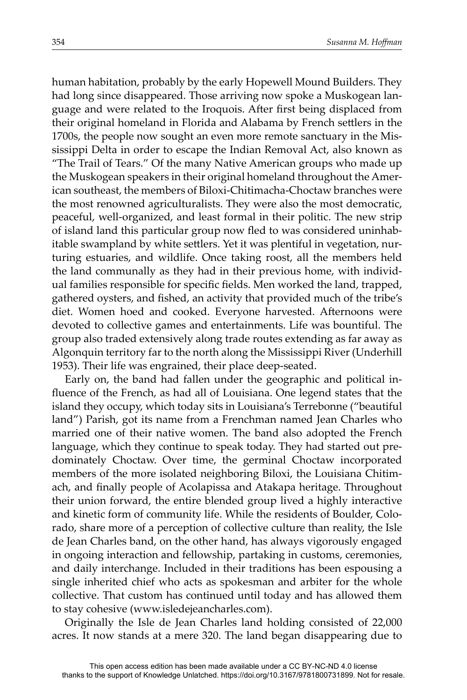human habitation, probably by the early Hopewell Mound Builders. They had long since disappeared. Those arriving now spoke a Muskogean language and were related to the Iroquois. After first being displaced from their original homeland in Florida and Alabama by French settlers in the 1700s, the people now sought an even more remote sanctuary in the Mississippi Delta in order to escape the Indian Removal Act, also known as "The Trail of Tears." Of the many Native American groups who made up the Muskogean speakers in their original homeland throughout the American southeast, the members of Biloxi-Chitimacha-Choctaw branches were the most renowned agriculturalists. They were also the most democratic, peaceful, well-organized, and least formal in their politic. The new strip of island land this particular group now fled to was considered uninhabitable swampland by white settlers. Yet it was plentiful in vegetation, nurturing estuaries, and wildlife. Once taking roost, all the members held the land communally as they had in their previous home, with individual families responsible for specific fields. Men worked the land, trapped, gathered oysters, and fished, an activity that provided much of the tribe's diet. Women hoed and cooked. Everyone harvested. Afternoons were devoted to collective games and entertainments. Life was bountiful. The group also traded extensively along trade routes extending as far away as Algonquin territory far to the north along the Mississippi River (Underhill 1953). Their life was engrained, their place deep-seated.

Early on, the band had fallen under the geographic and political influence of the French, as had all of Louisiana. One legend states that the island they occupy, which today sits in Louisiana's Terrebonne ("beautiful land") Parish, got its name from a Frenchman named Jean Charles who married one of their native women. The band also adopted the French language, which they continue to speak today. They had started out predominately Choctaw. Over time, the germinal Choctaw incorporated members of the more isolated neighboring Biloxi, the Louisiana Chitimach, and finally people of Acolapissa and Atakapa heritage. Throughout their union forward, the entire blended group lived a highly interactive and kinetic form of community life. While the residents of Boulder, Colorado, share more of a perception of collective culture than reality, the Isle de Jean Charles band, on the other hand, has always vigorously engaged in ongoing interaction and fellowship, partaking in customs, ceremonies, and daily interchange. Included in their traditions has been espousing a single inherited chief who acts as spokesman and arbiter for the whole collective. That custom has continued until today and has allowed them to stay cohesive (www.isledejeancharles.com).

Originally the Isle de Jean Charles land holding consisted of 22,000 acres. It now stands at a mere 320. The land began disappearing due to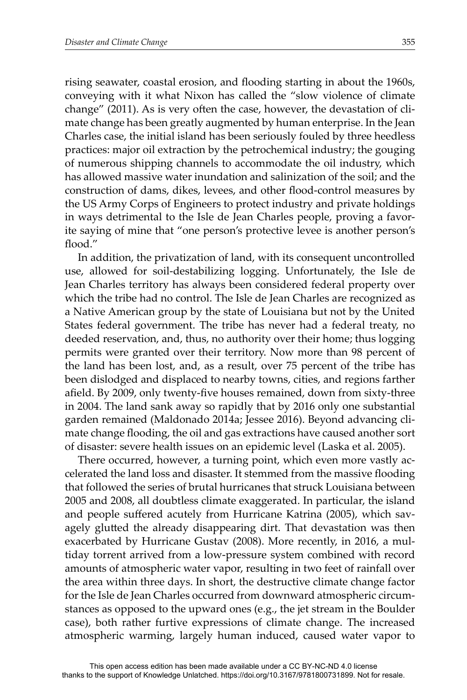rising seawater, coastal erosion, and flooding starting in about the 1960s, conveying with it what Nixon has called the "slow violence of climate change" (2011). As is very often the case, however, the devastation of climate change has been greatly augmented by human enterprise. In the Jean Charles case, the initial island has been seriously fouled by three heedless practices: major oil extraction by the petrochemical industry; the gouging of numerous shipping channels to accommodate the oil industry, which has allowed massive water inundation and salinization of the soil; and the construction of dams, dikes, levees, and other flood-control measures by the US Army Corps of Engineers to protect industry and private holdings in ways detrimental to the Isle de Jean Charles people, proving a favorite saying of mine that "one person's protective levee is another person's flood."

In addition, the privatization of land, with its consequent uncontrolled use, allowed for soil-destabilizing logging. Unfortunately, the Isle de Jean Charles territory has always been considered federal property over which the tribe had no control. The Isle de Jean Charles are recognized as a Native American group by the state of Louisiana but not by the United States federal government. The tribe has never had a federal treaty, no deeded reservation, and, thus, no authority over their home; thus logging permits were granted over their territory. Now more than 98 percent of the land has been lost, and, as a result, over 75 percent of the tribe has been dislodged and displaced to nearby towns, cities, and regions farther afield. By 2009, only twenty-five houses remained, down from sixty-three in 2004. The land sank away so rapidly that by 2016 only one substantial garden remained (Maldonado 2014a; Jessee 2016). Beyond advancing climate change flooding, the oil and gas extractions have caused another sort of disaster: severe health issues on an epidemic level (Laska et al. 2005).

There occurred, however, a turning point, which even more vastly accelerated the land loss and disaster. It stemmed from the massive flooding that followed the series of brutal hurricanes that struck Louisiana between 2005 and 2008, all doubtless climate exaggerated. In particular, the island and people suffered acutely from Hurricane Katrina (2005), which savagely glutted the already disappearing dirt. That devastation was then exacerbated by Hurricane Gustav (2008). More recently, in 2016, a multiday torrent arrived from a low-pressure system combined with record amounts of atmospheric water vapor, resulting in two feet of rainfall over the area within three days. In short, the destructive climate change factor for the Isle de Jean Charles occurred from downward atmospheric circumstances as opposed to the upward ones (e.g., the jet stream in the Boulder case), both rather furtive expressions of climate change. The increased atmospheric warming, largely human induced, caused water vapor to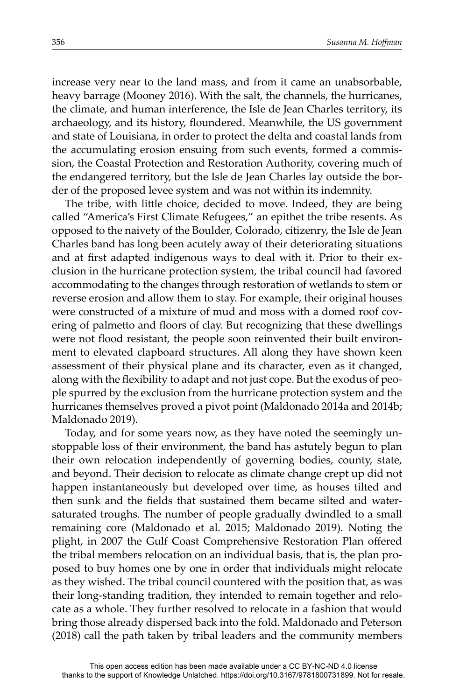increase very near to the land mass, and from it came an unabsorbable, heavy barrage (Mooney 2016). With the salt, the channels, the hurricanes, the climate, and human interference, the Isle de Jean Charles territory, its archaeology, and its history, floundered. Meanwhile, the US government and state of Louisiana, in order to protect the delta and coastal lands from the accumulating erosion ensuing from such events, formed a commission, the Coastal Protection and Restoration Authority, covering much of the endangered territory, but the Isle de Jean Charles lay outside the border of the proposed levee system and was not within its indemnity.

The tribe, with little choice, decided to move. Indeed, they are being called "America's First Climate Refugees," an epithet the tribe resents. As opposed to the naivety of the Boulder, Colorado, citizenry, the Isle de Jean Charles band has long been acutely away of their deteriorating situations and at first adapted indigenous ways to deal with it. Prior to their exclusion in the hurricane protection system, the tribal council had favored accommodating to the changes through restoration of wetlands to stem or reverse erosion and allow them to stay. For example, their original houses were constructed of a mixture of mud and moss with a domed roof covering of palmetto and floors of clay. But recognizing that these dwellings were not flood resistant, the people soon reinvented their built environment to elevated clapboard structures. All along they have shown keen assessment of their physical plane and its character, even as it changed, along with the flexibility to adapt and not just cope. But the exodus of people spurred by the exclusion from the hurricane protection system and the hurricanes themselves proved a pivot point (Maldonado 2014a and 2014b; Maldonado 2019).

Today, and for some years now, as they have noted the seemingly unstoppable loss of their environment, the band has astutely begun to plan their own relocation independently of governing bodies, county, state, and beyond. Their decision to relocate as climate change crept up did not happen instantaneously but developed over time, as houses tilted and then sunk and the fields that sustained them became silted and watersaturated troughs. The number of people gradually dwindled to a small remaining core (Maldonado et al. 2015; Maldonado 2019). Noting the plight, in 2007 the Gulf Coast Comprehensive Restoration Plan offered the tribal members relocation on an individual basis, that is, the plan proposed to buy homes one by one in order that individuals might relocate as they wished. The tribal council countered with the position that, as was their long-standing tradition, they intended to remain together and relocate as a whole. They further resolved to relocate in a fashion that would bring those already dispersed back into the fold. Maldonado and Peterson (2018) call the path taken by tribal leaders and the community members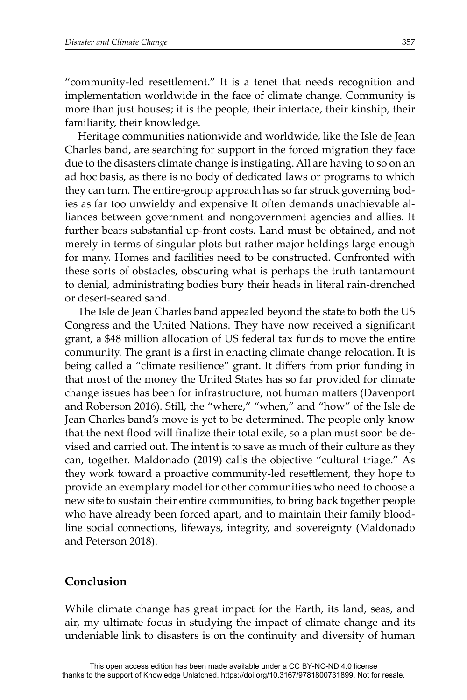"community-led resettlement." It is a tenet that needs recognition and implementation worldwide in the face of climate change. Community is more than just houses; it is the people, their interface, their kinship, their familiarity, their knowledge.

Heritage communities nationwide and worldwide, like the Isle de Jean Charles band, are searching for support in the forced migration they face due to the disasters climate change is instigating. All are having to so on an ad hoc basis, as there is no body of dedicated laws or programs to which they can turn. The entire-group approach has so far struck governing bodies as far too unwieldy and expensive It often demands unachievable alliances between government and nongovernment agencies and allies. It further bears substantial up-front costs. Land must be obtained, and not merely in terms of singular plots but rather major holdings large enough for many. Homes and facilities need to be constructed. Confronted with these sorts of obstacles, obscuring what is perhaps the truth tantamount to denial, administrating bodies bury their heads in literal rain-drenched or desert-seared sand.

The Isle de Jean Charles band appealed beyond the state to both the US Congress and the United Nations. They have now received a significant grant, a \$48 million allocation of US federal tax funds to move the entire community. The grant is a first in enacting climate change relocation. It is being called a "climate resilience" grant. It differs from prior funding in that most of the money the United States has so far provided for climate change issues has been for infrastructure, not human matters (Davenport and Roberson 2016). Still, the "where," "when," and "how" of the Isle de Jean Charles band's move is yet to be determined. The people only know that the next flood will finalize their total exile, so a plan must soon be devised and carried out. The intent is to save as much of their culture as they can, together. Maldonado (2019) calls the objective "cultural triage." As they work toward a proactive community-led resettlement, they hope to provide an exemplary model for other communities who need to choose a new site to sustain their entire communities, to bring back together people who have already been forced apart, and to maintain their family bloodline social connections, lifeways, integrity, and sovereignty (Maldonado and Peterson 2018).

### **Conclusion**

While climate change has great impact for the Earth, its land, seas, and air, my ultimate focus in studying the impact of climate change and its undeniable link to disasters is on the continuity and diversity of human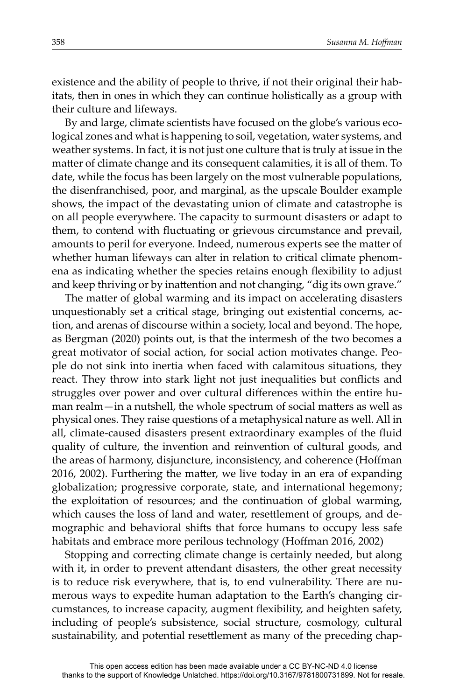existence and the ability of people to thrive, if not their original their habitats, then in ones in which they can continue holistically as a group with their culture and lifeways.

By and large, climate scientists have focused on the globe's various ecological zones and what is happening to soil, vegetation, water systems, and weather systems. In fact, it is not just one culture that is truly at issue in the matter of climate change and its consequent calamities, it is all of them. To date, while the focus has been largely on the most vulnerable populations, the disenfranchised, poor, and marginal, as the upscale Boulder example shows, the impact of the devastating union of climate and catastrophe is on all people everywhere. The capacity to surmount disasters or adapt to them, to contend with fluctuating or grievous circumstance and prevail, amounts to peril for everyone. Indeed, numerous experts see the matter of whether human lifeways can alter in relation to critical climate phenomena as indicating whether the species retains enough flexibility to adjust and keep thriving or by inattention and not changing, "dig its own grave."

The matter of global warming and its impact on accelerating disasters unquestionably set a critical stage, bringing out existential concerns, action, and arenas of discourse within a society, local and beyond. The hope, as Bergman (2020) points out, is that the intermesh of the two becomes a great motivator of social action, for social action motivates change. People do not sink into inertia when faced with calamitous situations, they react. They throw into stark light not just inequalities but conflicts and struggles over power and over cultural differences within the entire human realm—in a nutshell, the whole spectrum of social matters as well as physical ones. They raise questions of a metaphysical nature as well. All in all, climate-caused disasters present extraordinary examples of the fluid quality of culture, the invention and reinvention of cultural goods, and the areas of harmony, disjuncture, inconsistency, and coherence (Hoffman 2016, 2002). Furthering the matter, we live today in an era of expanding globalization; progressive corporate, state, and international hegemony; the exploitation of resources; and the continuation of global warming, which causes the loss of land and water, resettlement of groups, and demographic and behavioral shifts that force humans to occupy less safe habitats and embrace more perilous technology (Hoffman 2016, 2002)

Stopping and correcting climate change is certainly needed, but along with it, in order to prevent attendant disasters, the other great necessity is to reduce risk everywhere, that is, to end vulnerability. There are numerous ways to expedite human adaptation to the Earth's changing circumstances, to increase capacity, augment flexibility, and heighten safety, including of people's subsistence, social structure, cosmology, cultural sustainability, and potential resettlement as many of the preceding chap-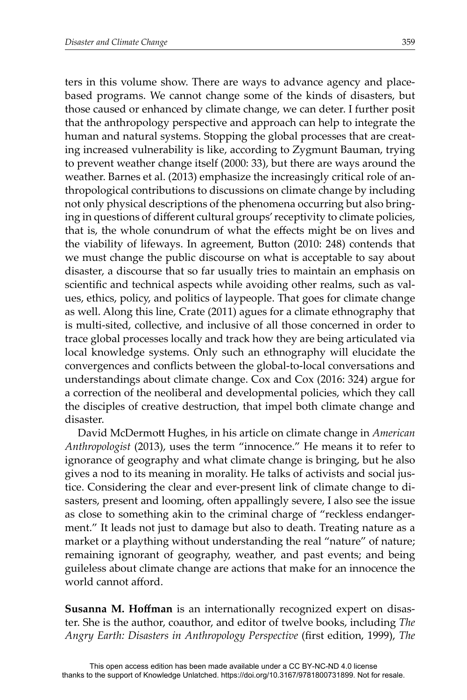ters in this volume show. There are ways to advance agency and placebased programs. We cannot change some of the kinds of disasters, but those caused or enhanced by climate change, we can deter. I further posit that the anthropology perspective and approach can help to integrate the human and natural systems. Stopping the global processes that are creating increased vulnerability is like, according to Zygmunt Bauman, trying to prevent weather change itself (2000: 33), but there are ways around the weather. Barnes et al. (2013) emphasize the increasingly critical role of anthropological contributions to discussions on climate change by including not only physical descriptions of the phenomena occurring but also bringing in questions of different cultural groups' receptivity to climate policies, that is, the whole conundrum of what the effects might be on lives and the viability of lifeways. In agreement, Button (2010: 248) contends that we must change the public discourse on what is acceptable to say about disaster, a discourse that so far usually tries to maintain an emphasis on scientific and technical aspects while avoiding other realms, such as values, ethics, policy, and politics of laypeople. That goes for climate change as well. Along this line, Crate (2011) agues for a climate ethnography that is multi-sited, collective, and inclusive of all those concerned in order to trace global processes locally and track how they are being articulated via local knowledge systems. Only such an ethnography will elucidate the convergences and conflicts between the global-to-local conversations and understandings about climate change. Cox and Cox (2016: 324) argue for a correction of the neoliberal and developmental policies, which they call the disciples of creative destruction, that impel both climate change and disaster.

David McDermott Hughes, in his article on climate change in *American Anthropologist* (2013), uses the term "innocence." He means it to refer to ignorance of geography and what climate change is bringing, but he also gives a nod to its meaning in morality. He talks of activists and social justice. Considering the clear and ever-present link of climate change to disasters, present and looming, often appallingly severe, I also see the issue as close to something akin to the criminal charge of "reckless endangerment." It leads not just to damage but also to death. Treating nature as a market or a plaything without understanding the real "nature" of nature; remaining ignorant of geography, weather, and past events; and being guileless about climate change are actions that make for an innocence the world cannot afford.

**Susanna M. Hoffman** is an internationally recognized expert on disaster. She is the author, coauthor, and editor of twelve books, including *The Angry Earth: Disasters in Anthropology Perspective* (first edition, 1999), *The*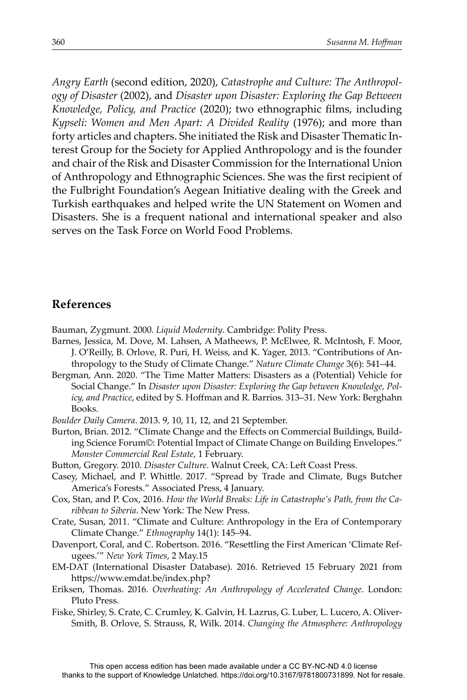*Angry Earth* (second edition, 2020), *Catastrophe and Culture: The Anthropology of Disaster* (2002), and *Disaster upon Disaster: Exploring the Gap Between Knowledge, Policy, and Practice* (2020); two ethnographic films, including *Kypseli: Women and Men Apart: A Divided Reality* (1976); and more than forty articles and chapters. She initiated the Risk and Disaster Thematic Interest Group for the Society for Applied Anthropology and is the founder and chair of the Risk and Disaster Commission for the International Union of Anthropology and Ethnographic Sciences. She was the first recipient of the Fulbright Foundation's Aegean Initiative dealing with the Greek and Turkish earthquakes and helped write the UN Statement on Women and Disasters. She is a frequent national and international speaker and also serves on the Task Force on World Food Problems.

#### **References**

Bauman, Zygmunt. 2000*. Liquid Modernity*. Cambridge: Polity Press.

- Barnes, Jessica, M. Dove, M. Lahsen, A Matheews, P. McElwee, R. McIntosh, F. Moor, J. O'Reilly, B. Orlove, R. Puri, H. Weiss, and K. Yager, 2013. "Contributions of Anthropology to the Study of Climate Change." *Nature Climate Change* 3(6): 541–44.
- Bergman, Ann. 2020. "The Time Matter Matters: Disasters as a (Potential) Vehicle for Social Change." In *Disaster upon Disaster: Exploring the Gap between Knowledge, Policy, and Practice,* edited by S. Hoffman and R. Barrios. 313–31. New York: Berghahn Books.
- *Boulder Daily Camera*. 2013. 9, 10, 11, 12, and 21 September.

Burton, Brian. 2012. "Climate Change and the Effects on Commercial Buildings, Building Science Forum©: Potential Impact of Climate Change on Building Envelopes." *Monster Commercial Real Estate*, 1 February.

Button, Gregory. 2010. *Disaster Culture*. Walnut Creek, CA: Left Coast Press.

- Casey, Michael, and P. Whittle. 2017. "Spread by Trade and Climate, Bugs Butcher America's Forests." Associated Press, 4 January.
- Cox, Stan, and P. Cox, 2016. *How the World Breaks: Life in Catastrophe's Path, from the Caribbean to Siberia*. New York*:* The New Press.
- Crate, Susan, 2011. "Climate and Culture: Anthropology in the Era of Contemporary Climate Change." *Ethnography* 14(1): 145–94.
- Davenport, Coral, and C. Robertson. 2016. "Resettling the First American 'Climate Refugees.'" *New York Times*, 2 May.15
- EM-DAT (International Disaster Database). 2016. Retrieved 15 February 2021 from https://www.emdat.be/index.php?
- Eriksen, Thomas. 2016. *Overheating: An Anthropology of Accelerated Change*. London: Pluto Press.

Fiske, Shirley, S. Crate, C. Crumley, K. Galvin, H. Lazrus, G. Luber, L. Lucero, A. Oliver-Smith, B. Orlove, S. Strauss, R, Wilk. 2014. *Changing the Atmosphere: Anthropology*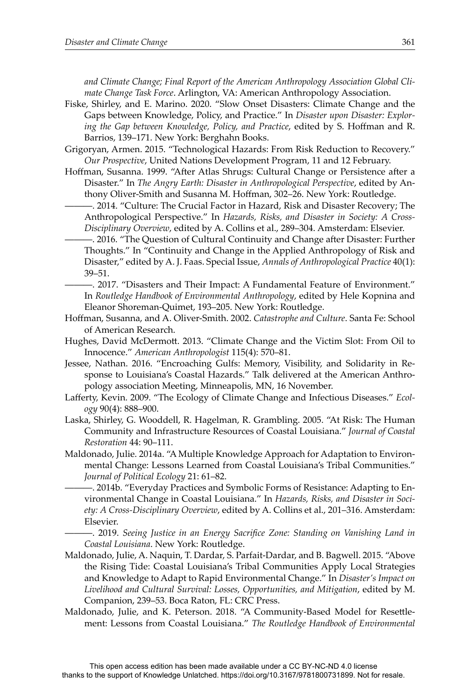*and Climate Change; Final Report of the American Anthropology Association Global Climate Change Task Force*. Arlington, VA: American Anthropology Association.

- Fiske, Shirley, and E. Marino. 2020. "Slow Onset Disasters: Climate Change and the Gaps between Knowledge, Policy, and Practice." In *Disaster upon Disaster: Explor*ing the Gap between Knowledge, Policy, and Practice, edited by S. Hoffman and R. Barrios, 139–171. New York: Berghahn Books.
- Grigoryan, Armen. 2015. "Technological Hazards: From Risk Reduction to Recovery." *Our Prospective*, United Nations Development Program, 11 and 12 February.
- Hoffman, Susanna. 1999. "After Atlas Shrugs: Cultural Change or Persistence after a Disaster." In *The Angry Earth: Disaster in Anthropological Perspective*, edited by Anthony Oliver-Smith and Susanna M. Hoffman, 302-26. New York: Routledge.
	- ———. 2014. "Culture: The Crucial Factor in Hazard, Risk and Disaster Recovery; The Anthropological Perspective." In *Hazards, Risks, and Disaster in Society: A Cross-Disciplinary Overview*, edited by A. Collins et al., 289–304. Amsterdam: Elsevier.
	- —, 2016. "The Question of Cultural Continuity and Change after Disaster: Further Thoughts." In "Continuity and Change in the Applied Anthropology of Risk and Disaster," edited by A. J. Faas. Special Issue, *Annals of Anthropological Practice* 40(1): 39–51.
	- ———. 2017. "Disasters and Their Impact: A Fundamental Feature of Environment." In *Routledge Handbook of Environmental Anthropology*, edited by Hele Kopnina and Eleanor Shoreman-Quimet, 193–205. New York: Routledge.
- Hoff man, Susanna, and A. Oliver-Smith. 2002. *Catastrophe and Culture*. Santa Fe: School of American Research.
- Hughes, David McDermott. 2013. "Climate Change and the Victim Slot: From Oil to Innocence." *American Anthropologist* 115(4): 570–81.
- Jessee, Nathan. 2016. "Encroaching Gulfs: Memory, Visibility, and Solidarity in Response to Louisiana's Coastal Hazards." Talk delivered at the American Anthropology association Meeting, Minneapolis, MN, 16 November.
- Lafferty, Kevin. 2009. "The Ecology of Climate Change and Infectious Diseases." *Ecology* 90(4): 888–900.
- Laska, Shirley, G. Wooddell, R. Hagelman, R. Grambling. 2005. "At Risk: The Human Community and Infrastructure Resources of Coastal Louisiana." *Journal of Coastal Restoration* 44: 90–111.
- Maldonado, Julie. 2014a. "A Multiple Knowledge Approach for Adaptation to Environmental Change: Lessons Learned from Coastal Louisiana's Tribal Communities." *Journal of Political Ecology* 21: 61–82.
	- ———. 2014b. "Everyday Practices and Symbolic Forms of Resistance: Adapting to Environmental Change in Coastal Louisiana." In *Hazards, Risks, and Disaster in Society: A Cross-Disciplinary Overview*, edited by A. Collins et al., 201–316. Amsterdam: Elsevier.
		- ———. 2019. *Seeing Justice in an Energy Sacrifi ce Zone: Standing on Vanishing Land in Coastal Louisiana*. New York: Routledge.
- Maldonado, Julie, A. Naquin, T. Dardar, S. Parfait-Dardar, and B. Bagwell. 2015. "Above the Rising Tide: Coastal Louisiana's Tribal Communities Apply Local Strategies and Knowledge to Adapt to Rapid Environmental Change." In *Disaster's Impact on Livelihood and Cultural Survival: Losses, Opportunities, and Mitigation*, edited by M. Companion, 239–53. Boca Raton, FL: CRC Press.
- Maldonado, Julie, and K. Peterson. 2018. "A Community-Based Model for Resettlement: Lessons from Coastal Louisiana." *The Routledge Handbook of Environmental*